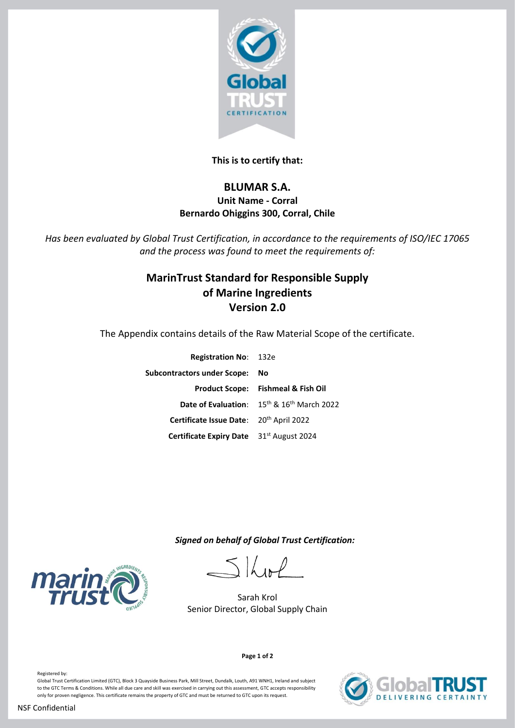

## **This is to certify that:**

## **BLUMAR S.A. Unit Name - Corral Bernardo Ohiggins 300, Corral, Chile**

*Has been evaluated by Global Trust Certification, in accordance to the requirements of ISO/IEC 17065 and the process was found to meet the requirements of:*

# **MarinTrust Standard for Responsible Supply of Marine Ingredients Version 2.0**

The Appendix contains details of the Raw Material Scope of the certificate.

| <b>Registration No: 132e</b>                        |                                                             |
|-----------------------------------------------------|-------------------------------------------------------------|
| <b>Subcontractors under Scope:</b>                  | No                                                          |
|                                                     | <b>Product Scope: Fishmeal &amp; Fish Oil</b>               |
|                                                     | <b>Date of Evaluation:</b> $15^{th}$ & $16^{th}$ March 2022 |
| Certificate Issue Date: 20 <sup>th</sup> April 2022 |                                                             |
| Certificate Expiry Date 31st August 2024            |                                                             |

 *Signed on behalf of Global Trust Certification:*

Skol

Sarah Krol Senior Director, Global Supply Chain





**Page 1 of 2**

Registered by: Global Trust Certification Limited (GTC), Block 3 Quayside Business Park, Mill Street, Dundalk, Louth, A91 WNH1, Ireland and subject to the GTC Terms & Conditions. While all due care and skill was exercised in carrying out this assessment, GTC accepts responsibility only for proven negligence. This certificate remains the property of GTC and must be returned to GTC upon its request.